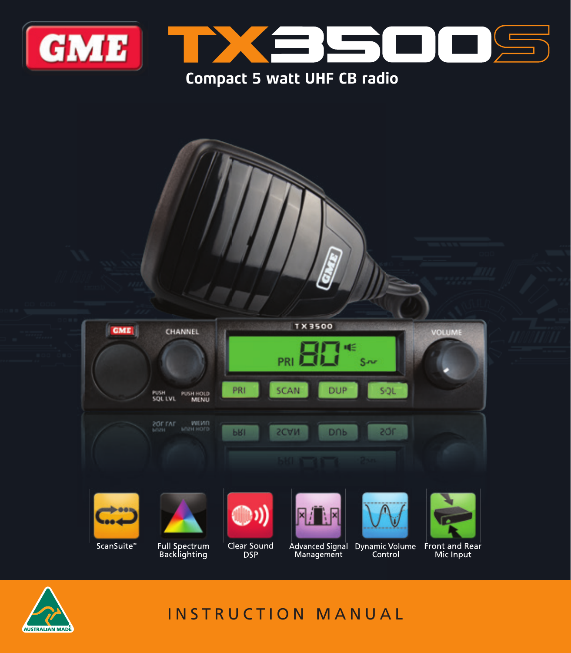

## **Compact 5 watt UHF CB radio**





# INSTRUCTION MANUAL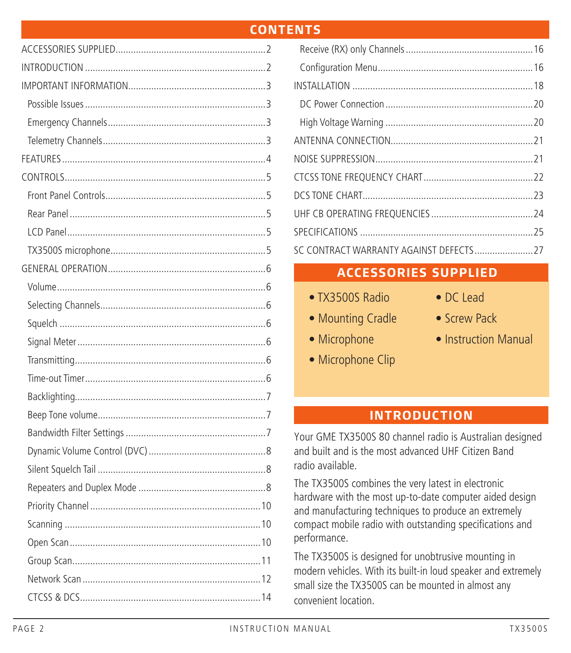### **CONTENTS**

## **ACCESSORIES SUPPLIED**

- TX3500S Radio
- DC Lead
- Mounting Cradle
- Screw Pack
- Microphone • Microphone Clip
- Instruction Manual

## **INTRODUCTION**

Your GME TX3500S 80 channel radio is Australian designed and built and is the most advanced UHF Citizen Band radio available.

The TX3500S combines the very latest in electronic hardware with the most up-to-date computer aided design and manufacturing techniques to produce an extremely compact mobile radio with outstanding specifications and performance.

The TX3500S is designed for unobtrusive mounting in modern vehicles. With its built-in loud speaker and extremely small size the TX3500S can be mounted in almost any convenient location.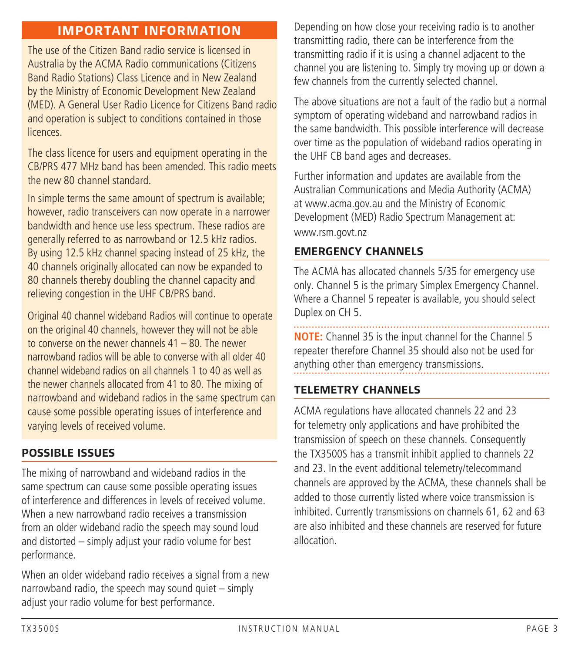## **IMPORTANT INFORMATION**

 The use of the Citizen Band radio service is licensed in Australia by the ACMA Radio communications (Citizens Band Radio Stations) Class Licence and in New Zealand by the Ministry of Economic Development New Zealand (MED). A General User Radio Licence for Citizens Band radio and operation is subject to conditions contained in those **licences** 

The class licence for users and equipment operating in the CB/PRS 477 MHz band has been amended. This radio meets the new 80 channel standard

In simple terms the same amount of spectrum is available; however, radio transceivers can now operate in a narrower bandwidth and hence use less spectrum. These radios are generally referred to as narrowband or 12.5 kHz radios. By using 12.5 kHz channel spacing instead of 25 kHz, the 40 channels originally allocated can now be expanded to 80 channels thereby doubling the channel capacity and relieving congestion in the UHF CB/PRS band.

 Original 40 channel wideband Radios will continue to operate on the original 40 channels, however they will not be able to converse on the newer channels  $41 - 80$ . The newer narrowband radios will be able to converse with all older 40 channel wideband radios on all channels 1 to 40 as well as the newer channels allocated from 41 to 80. The mixing of narrowband and wideband radios in the same spectrum can cause some possible operating issues of interference and varying levels of received volume.

#### **POSSIBLE ISSUES**

The mixing of narrowband and wideband radios in the same spectrum can cause some possible operating issues of interference and differences in levels of received volume. When a new narrowband radio receives a transmission from an older wideband radio the speech may sound loud and distorted – simply adjust your radio volume for best performance.

When an older wideband radio receives a signal from a new narrowband radio, the speech may sound quiet – simply adjust your radio volume for best performance.

Depending on how close your receiving radio is to another transmitting radio, there can be interference from the transmitting radio if it is using a channel adjacent to the channel you are listening to. Simply try moving up or down a few channels from the currently selected channel.

The above situations are not a fault of the radio but a normal symptom of operating wideband and narrowband radios in the same bandwidth. This possible interference will decrease over time as the population of wideband radios operating in the UHF CB band ages and decreases.

Further information and updates are available from the Australian Communications and Media Authority (ACMA) at www.acma.gov.au and the Ministry of Economic Development (MED) Radio Spectrum Management at: www.rsm.govt.nz

#### **EMERGENCY CHANNELS**

The ACMA has allocated channels 5/35 for emergency use only. Channel 5 is the primary Simplex Emergency Channel. Where a Channel 5 repeater is available, you should select Duplex on CH 5.

**NOTE:** Channel 35 is the input channel for the Channel 5 repeater therefore Channel 35 should also not be used for anything other than emergency transmissions.

#### **TELEMETRY CHANNELS**

ACMA regulations have allocated channels 22 and 23 for telemetry only applications and have prohibited the transmission of speech on these channels. Consequently the TX3500S has a transmit inhibit applied to channels 22 and 23. In the event additional telemetry/telecommand channels are approved by the ACMA, these channels shall be added to those currently listed where voice transmission is inhibited. Currently transmissions on channels 61, 62 and 63 are also inhibited and these channels are reserved for future allocation.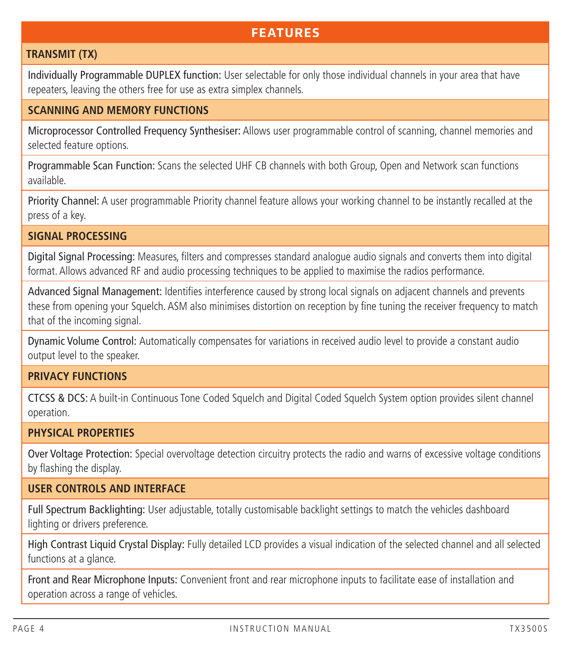## **FEATURES**

#### **TRANSMIT (TX)**

Individually Programmable DUPLEX function: User selectable for only those individual channels in your area that have repeaters, leaving the others free for use as extra simplex channels.

#### **SCANNING AND MEMORY FUNCTIONS**

Microprocessor Controlled Frequency Synthesiser: Allows user programmable control of scanning, channel memories and selected feature options.

Programmable Scan Function: Scans the selected UHF CB channels with both Group, Open and Network scan functions available.

Priority Channel: A user programmable Priority channel feature allows your working channel to be instantly recalled at the press of a key.

### **SIGNAL PROCESSING**

Digital Signal Processing: Measures, filters and compresses standard analogue audio signals and converts them into digital format. Allows advanced RF and audio processing techniques to be applied to maximise the radios performance.

Advanced Signal Management: Identifies interference caused by strong local signals on adjacent channels and prevents these from opening your Squelch. ASM also minimises distortion on reception by fine tuning the receiver frequency to match that of the incoming signal.

Dynamic Volume Control: Automatically compensates for variations in received audio level to provide a constant audio output level to the speaker.

#### **PRIVACY FUNCTIONS**

CTCSS & DCS: A built-in Continuous Tone Coded Squelch and Digital Coded Squelch System option provides silent channel operation.

#### **PHYSICAL PROPERTIES**

Over Voltage Protection: Special overvoltage detection circuitry protects the radio and warns of excessive voltage conditions by flashing the display.

### **USER CONTROLS AND INTERFACE**

Full Spectrum Backlighting: User adjustable, totally customisable backlight settings to match the vehicles dashboard lighting or drivers preference.

High Contrast Liquid Crystal Display: Fully detailed LCD provides a visual indication of the selected channel and all selected functions at a glance.

Front and Rear Microphone Inputs: Convenient front and rear microphone inputs to facilitate ease of installation and operation across a range of vehicles.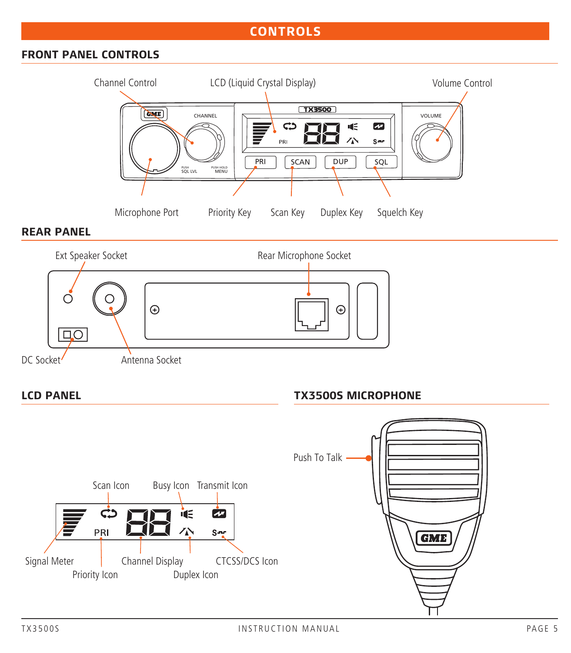## **CONTROLS**

### **FRONT PANEL CONTROLS**



#### **REAR PANEL**



#### **LCD PANEL**

#### **TX3500S MICROPHONE**

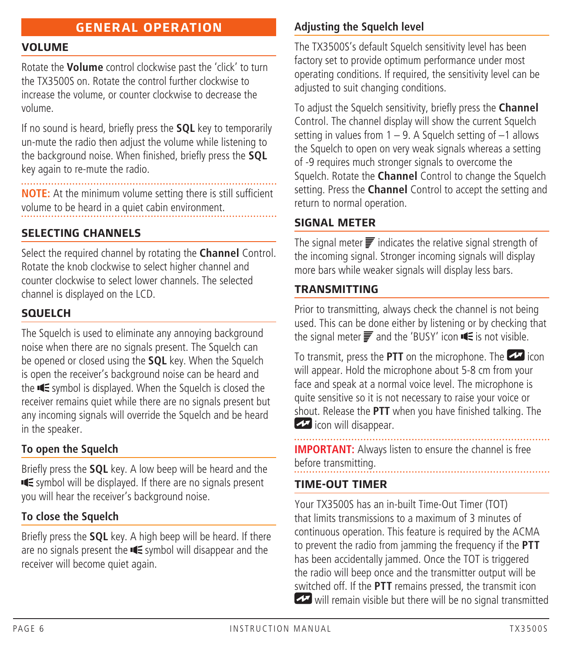## **GENERAL OPERATION**

#### **VOLUME**

Rotate the **Volume** control clockwise past the 'click' to turn the TX3500S on. Rotate the control further clockwise to increase the volume, or counter clockwise to decrease the volume.

If no sound is heard, briefly press the **SQL** key to temporarily un-mute the radio then adjust the volume while listening to the background noise. When finished, briefly press the **SQL** key again to re-mute the radio.

**NOTE:** At the minimum volume setting there is still sufficient volume to be heard in a quiet cabin environment.

#### **SELECTING CHANNELS**

Select the required channel by rotating the **Channel** Control. Rotate the knob clockwise to select higher channel and counter clockwise to select lower channels. The selected channel is displayed on the LCD.

#### **SQUELCH**

The Squelch is used to eliminate any annoying background noise when there are no signals present. The Squelch can be opened or closed using the **SQL** key. When the Squelch is open the receiver's background noise can be heard and the  $\blacksquare$  symbol is displayed. When the Squelch is closed the receiver remains quiet while there are no signals present but any incoming signals will override the Squelch and be heard in the speaker.

#### **To open the Squelch**

Briefly press the **SQL** key. A low beep will be heard and the **IE** symbol will be displayed. If there are no signals present you will hear the receiver's background noise.

### **To close the Squelch**

Briefly press the **SQL** key. A high beep will be heard. If there are no signals present the  $\blacksquare$  symbol will disappear and the receiver will become quiet again.

### **Adjusting the Squelch level**

The TX3500S's default Squelch sensitivity level has been factory set to provide optimum performance under most operating conditions. If required, the sensitivity level can be adjusted to suit changing conditions.

To adjust the Squelch sensitivity, briefly press the **Channel**  Control. The channel display will show the current Squelch setting in values from  $1 - 9$ . A Squelch setting of  $-1$  allows the Squelch to open on very weak signals whereas a setting of -9 requires much stronger signals to overcome the Squelch. Rotate the **Channel** Control to change the Squelch setting. Press the **Channel** Control to accept the setting and return to normal operation.

#### **SIGNAL METER**

The signal meter  $\overline{=}$  indicates the relative signal strength of the incoming signal. Stronger incoming signals will display more bars while weaker signals will display less bars.

#### **TRANSMITTING**

Prior to transmitting, always check the channel is not being used. This can be done either by listening or by checking that the signal meter  $\equiv$  and the 'BUSY' icon  $\equiv$  is not visible.

To transmit, press the **PTT** on the microphone. The **interpretation** will appear. Hold the microphone about 5-8 cm from your face and speak at a normal voice level. The microphone is quite sensitive so it is not necessary to raise your voice or shout. Release the **PTT** when you have finished talking. The **icon will disappear.** 

**IMPORTANT:** Always listen to ensure the channel is free before transmitting.

#### **TIME-OUT TIMER**

Your TX3500S has an in-built Time-Out Timer (TOT) that limits transmissions to a maximum of 3 minutes of continuous operation. This feature is required by the ACMA to prevent the radio from jamming the frequency if the **PTT** has been accidentally jammed. Once the TOT is triggered the radio will beep once and the transmitter output will be switched off. If the **PTT** remains pressed, the transmit icon will remain visible but there will be no signal transmitted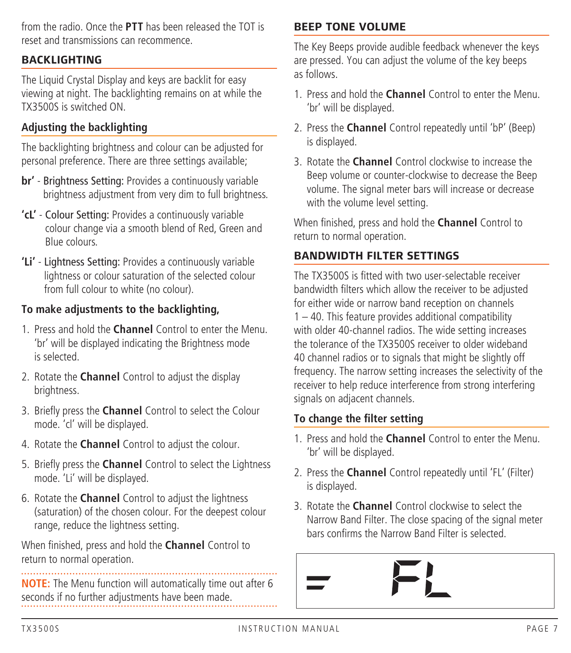from the radio. Once the **PTT** has been released the TOT is reset and transmissions can recommence.

### **BACKLIGHTING**

The Liquid Crystal Display and keys are backlit for easy viewing at night. The backlighting remains on at while the TX3500S is switched ON.

### **Adjusting the backlighting**

The backlighting brightness and colour can be adjusted for personal preference. There are three settings available;

- **br'** Brightness Setting: Provides a continuously variable brightness adjustment from very dim to full brightness.
- **'cL'** Colour Setting: Provides a continuously variable colour change via a smooth blend of Red, Green and Blue colours.
- **'Li'** Lightness Setting: Provides a continuously variable lightness or colour saturation of the selected colour from full colour to white (no colour).

#### **To make adjustments to the backlighting,**

- 1. Press and hold the **Channel** Control to enter the Menu. 'br' will be displayed indicating the Brightness mode is selected.
- 2. Rotate the **Channel** Control to adjust the display brightness.
- 3. Briefly press the **Channel** Control to select the Colour mode. 'cl' will be displayed.
- 4. Rotate the **Channel** Control to adjust the colour.
- 5. Briefly press the **Channel** Control to select the Lightness mode. 'Li' will be displayed.
- 6. Rotate the **Channel** Control to adjust the lightness (saturation) of the chosen colour. For the deepest colour range, reduce the lightness setting.

When finished, press and hold the **Channel** Control to return to normal operation.

**NOTE:** The Menu function will automatically time out after 6 seconds if no further adjustments have been made.

#### **BEEP TONE VOLUME**

The Key Beeps provide audible feedback whenever the keys are pressed. You can adjust the volume of the key beeps as follows.

- 1. Press and hold the **Channel** Control to enter the Menu. 'br' will be displayed.
- 2. Press the **Channel** Control repeatedly until 'bP' (Beep) is displayed.
- 3. Rotate the **Channel** Control clockwise to increase the Beep volume or counter-clockwise to decrease the Beep volume. The signal meter bars will increase or decrease with the volume level setting.

When finished, press and hold the **Channel** Control to return to normal operation.

#### **BANDWIDTH FILTER SETTINGS**

The TX3500S is fitted with two user-selectable receiver bandwidth filters which allow the receiver to be adjusted for either wide or narrow band reception on channels 1 – 40. This feature provides additional compatibility with older 40-channel radios. The wide setting increases the tolerance of the TX3500S receiver to older wideband 40 channel radios or to signals that might be slightly off frequency. The narrow setting increases the selectivity of the receiver to help reduce interference from strong interfering signals on adjacent channels.

#### **To change the filter setting**

- 1. Press and hold the **Channel** Control to enter the Menu. 'br' will be displayed.
- 2. Press the **Channel** Control repeatedly until 'FL' (Filter) is displayed.
- 3. Rotate the **Channel** Control clockwise to select the Narrow Band Filter. The close spacing of the signal meter bars confirms the Narrow Band Filter is selected.

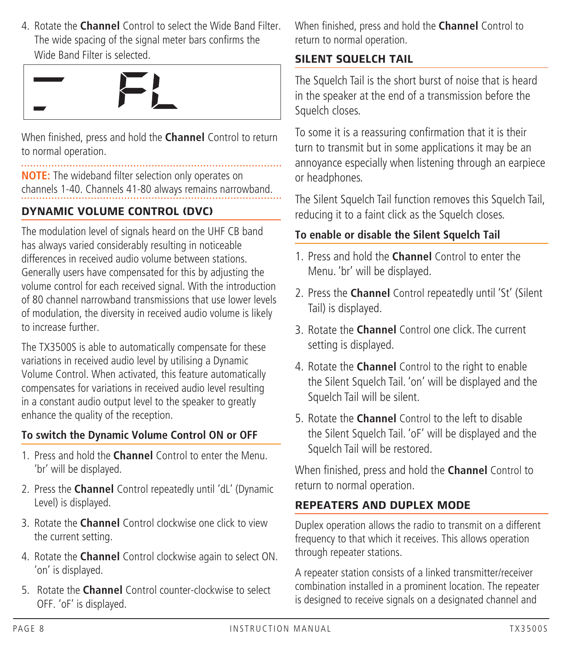4. Rotate the **Channel** Control to select the Wide Band Filter. The wide spacing of the signal meter bars confirms the Wide Band Filter is selected.

When finished, press and hold the **Channel** Control to return to normal operation.

**NOTE:** The wideband filter selection only operates on channels 1-40. Channels 41-80 always remains narrowband.

## **DYNAMIC VOLUME CONTROL (DVC)**

The modulation level of signals heard on the UHF CB band has always varied considerably resulting in noticeable differences in received audio volume between stations. Generally users have compensated for this by adjusting the volume control for each received signal. With the introduction of 80 channel narrowband transmissions that use lower levels of modulation, the diversity in received audio volume is likely to increase further.

The TX3500S is able to automatically compensate for these variations in received audio level by utilising a Dynamic Volume Control. When activated, this feature automatically compensates for variations in received audio level resulting in a constant audio output level to the speaker to greatly enhance the quality of the reception.

## **To switch the Dynamic Volume Control ON or OFF**

- 1. Press and hold the **Channel** Control to enter the Menu. 'br' will be displayed.
- 2. Press the **Channel** Control repeatedly until 'dL' (Dynamic Level) is displayed.
- 3. Rotate the **Channel** Control clockwise one click to view the current setting.
- 4. Rotate the **Channel** Control clockwise again to select ON. 'on' is displayed.
- 5. Rotate the **Channel** Control counter-clockwise to select OFF. 'oF' is displayed.

When finished, press and hold the **Channel** Control to return to normal operation.

## **SILENT SQUELCH TAIL**

The Squelch Tail is the short burst of noise that is heard in the speaker at the end of a transmission before the Squelch closes.

To some it is a reassuring confirmation that it is their turn to transmit but in some applications it may be an annoyance especially when listening through an earpiece or headphones.

The Silent Squelch Tail function removes this Squelch Tail, reducing it to a faint click as the Squelch closes.

## **To enable or disable the Silent Squelch Tail**

- 1. Press and hold the **Channel** Control to enter the Menu. 'br' will be displayed.
- 2. Press the **Channel** Control repeatedly until 'St' (Silent Tail) is displayed.
- 3. Rotate the **Channel** Control one click. The current setting is displayed.
- 4. Rotate the **Channel** Control to the right to enable the Silent Squelch Tail. 'on' will be displayed and the Squelch Tail will be silent.
- 5. Rotate the **Channel** Control to the left to disable the Silent Squelch Tail. 'oF' will be displayed and the Squelch Tail will be restored.

When finished, press and hold the **Channel** Control to return to normal operation.

## **REPEATERS AND DUPLEX MODE**

Duplex operation allows the radio to transmit on a different frequency to that which it receives. This allows operation through repeater stations.

A repeater station consists of a linked transmitter/receiver combination installed in a prominent location. The repeater is designed to receive signals on a designated channel and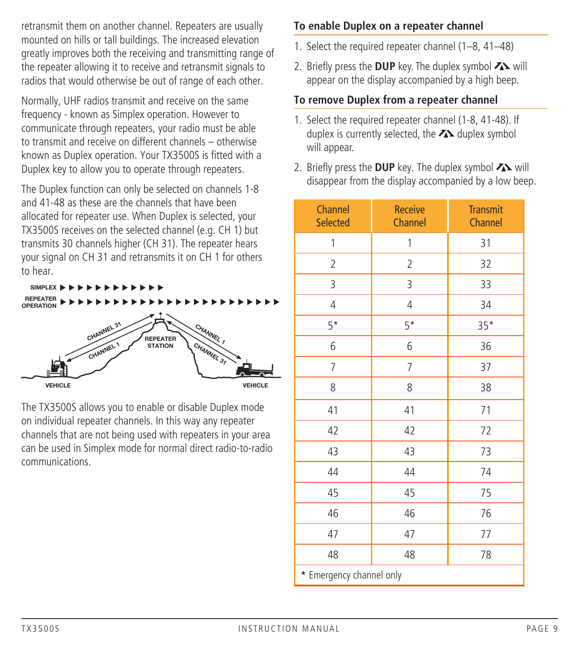retransmit them on another channel. Repeaters are usually mounted on hills or tall buildings. The increased elevation greatly improves both the receiving and transmitting range of the repeater allowing it to receive and retransmit signals to radios that would otherwise be out of range of each other.

Normally, UHF radios transmit and receive on the same frequency - known as Simplex operation. However to communicate through repeaters, your radio must be able to transmit and receive on different channels – otherwise known as Duplex operation. Your TX3500S is fitted with a Duplex key to allow you to operate through repeaters.

The Duplex function can only be selected on channels 1-8 and 41-48 as these are the channels that have been allocated for repeater use. When Duplex is selected, your TX3500S receives on the selected channel (e.g. CH 1) but transmits 30 channels higher (CH 31). The repeater hears your signal on CH 31 and retransmits it on CH 1 for others to hear.



The TX3500S allows you to enable or disable Duplex mode on individual repeater channels. In this way any repeater channels that are not being used with repeaters in your area can be used in Simplex mode for normal direct radio-to-radio communications.

### **To enable Duplex on a repeater channel**

- 1. Select the required repeater channel (1–8, 41–48)
- 2. Briefly press the **DUP** key. The duplex symbol **Z** will appear on the display accompanied by a high beep.

### **To remove Duplex from a repeater channel**

- 1. Select the required repeater channel (1-8, 41-48). If duplex is currently selected, the  $\sum$  duplex symbol will appear.
- 2. Briefly press the DUP key. The duplex symbol  $\lambda$  will disappear from the display accompanied by a low beep.

| Channel<br><b>Selected</b> | <b>Receive</b><br>Channel | <b>Transmit</b><br>Channel |  |  |  |
|----------------------------|---------------------------|----------------------------|--|--|--|
| 1                          | 1                         | 31                         |  |  |  |
| $\overline{2}$             | $\overline{2}$            | 32                         |  |  |  |
| 3                          | 3                         | 33                         |  |  |  |
| 4                          | 4                         | 34                         |  |  |  |
| $5*$                       | $5*$                      | $35*$                      |  |  |  |
| 6                          | 6                         | 36                         |  |  |  |
| 7                          | 7                         | 37                         |  |  |  |
| 8                          | 8                         | 38                         |  |  |  |
| 41                         | 41                        | 71                         |  |  |  |
| 42                         | 42                        | 72                         |  |  |  |
| 43                         | 43                        | 73                         |  |  |  |
| 44                         | 44                        | 74                         |  |  |  |
| 45                         | 45                        | 75                         |  |  |  |
| 46                         | 46                        | 76                         |  |  |  |
| 47                         | 47                        | 77                         |  |  |  |
| 48                         | 48                        | 78                         |  |  |  |
| * Emergency channel only   |                           |                            |  |  |  |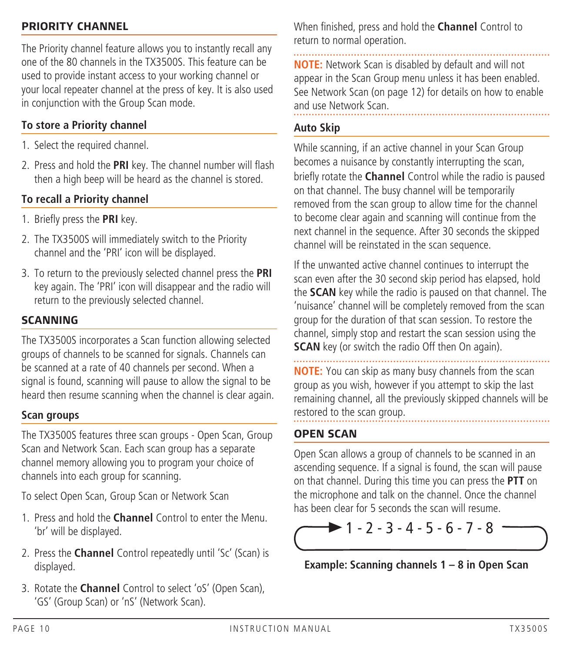#### **PRIORITY CHANNEL**

The Priority channel feature allows you to instantly recall any one of the 80 channels in the TX3500S. This feature can be used to provide instant access to your working channel or your local repeater channel at the press of key. It is also used in conjunction with the Group Scan mode.

### **To store a Priority channel**

- 1. Select the required channel.
- 2. Press and hold the **PRI** key. The channel number will flash then a high beep will be heard as the channel is stored.

### **To recall a Priority channel**

- 1. Briefly press the **PRI** key.
- 2. The TX3500S will immediately switch to the Priority channel and the 'PRI' icon will be displayed.
- 3. To return to the previously selected channel press the **PRI** key again. The 'PRI' icon will disappear and the radio will return to the previously selected channel.

### **SCANNING**

The TX3500S incorporates a Scan function allowing selected groups of channels to be scanned for signals. Channels can be scanned at a rate of 40 channels per second. When a signal is found, scanning will pause to allow the signal to be heard then resume scanning when the channel is clear again.

#### **Scan groups**

The TX3500S features three scan groups - Open Scan, Group Scan and Network Scan. Each scan group has a separate channel memory allowing you to program your choice of channels into each group for scanning.

To select Open Scan, Group Scan or Network Scan

- 1. Press and hold the **Channel** Control to enter the Menu. 'br' will be displayed.
- 2. Press the **Channel** Control repeatedly until 'Sc' (Scan) is displayed.
- 3. Rotate the **Channel** Control to select 'oS' (Open Scan), 'GS' (Group Scan) or 'nS' (Network Scan).

When finished, press and hold the **Channel** Control to return to normal operation.

**NOTE:** Network Scan is disabled by default and will not appear in the Scan Group menu unless it has been enabled. See Network Scan (on page 12) for details on how to enable and use Network Scan.

#### **Auto Skip**

While scanning, if an active channel in your Scan Group becomes a nuisance by constantly interrupting the scan, briefly rotate the **Channel** Control while the radio is paused on that channel. The busy channel will be temporarily removed from the scan group to allow time for the channel to become clear again and scanning will continue from the next channel in the sequence. After 30 seconds the skipped channel will be reinstated in the scan sequence.

If the unwanted active channel continues to interrupt the scan even after the 30 second skip period has elapsed, hold the **SCAN** key while the radio is paused on that channel. The 'nuisance' channel will be completely removed from the scan group for the duration of that scan session. To restore the channel, simply stop and restart the scan session using the **SCAN** key (or switch the radio Off then On again).

**NOTE:** You can skip as many busy channels from the scan group as you wish, however if you attempt to skip the last remaining channel, all the previously skipped channels will be restored to the scan group.

#### **OPEN SCAN**

Open Scan allows a group of channels to be scanned in an ascending sequence. If a signal is found, the scan will pause on that channel. During this time you can press the **PTT** on the microphone and talk on the channel. Once the channel has been clear for 5 seconds the scan will resume.



**Example: Scanning channels 1 – 8 in Open Scan**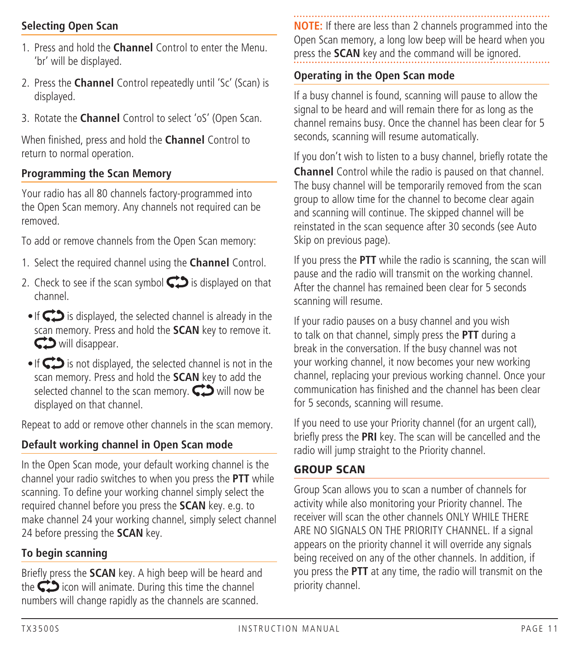### **Selecting Open Scan**

- 1. Press and hold the **Channel** Control to enter the Menu. 'br' will be displayed.
- 2. Press the **Channel** Control repeatedly until 'Sc' (Scan) is displayed.
- 3. Rotate the **Channel** Control to select 'oS' (Open Scan.

When finished, press and hold the **Channel** Control to return to normal operation.

#### **Programming the Scan Memory**

Your radio has all 80 channels factory-programmed into the Open Scan memory. Any channels not required can be removed.

To add or remove channels from the Open Scan memory:

- 1. Select the required channel using the **Channel** Control.
- 2. Check to see if the scan symbol  $\bigodot$  is displayed on that channel.
- If  $\bigcirc$  is displayed, the selected channel is already in the scan memory. Press and hold the **SCAN** key to remove it. C. will disappear.
- If  $\bigcirc$  is not displayed, the selected channel is not in the scan memory. Press and hold the **SCAN** key to add the selected channel to the scan memory.  $\bigodot$  will now be displayed on that channel.

Repeat to add or remove other channels in the scan memory.

### **Default working channel in Open Scan mode**

In the Open Scan mode, your default working channel is the channel your radio switches to when you press the **PTT** while scanning. To define your working channel simply select the required channel before you press the **SCAN** key. e.g. to make channel 24 your working channel, simply select channel 24 before pressing the **SCAN** key.

#### **To begin scanning**

Briefly press the **SCAN** key. A high beep will be heard and the  $\bigcirc$  icon will animate. During this time the channel numbers will change rapidly as the channels are scanned.

**NOTE:** If there are less than 2 channels programmed into the Open Scan memory, a long low beep will be heard when you press the **SCAN** key and the command will be ignored.

#### **Operating in the Open Scan mode**

If a busy channel is found, scanning will pause to allow the signal to be heard and will remain there for as long as the channel remains busy. Once the channel has been clear for 5 seconds, scanning will resume automatically.

If you don't wish to listen to a busy channel, briefly rotate the **Channel** Control while the radio is paused on that channel. The busy channel will be temporarily removed from the scan group to allow time for the channel to become clear again and scanning will continue. The skipped channel will be reinstated in the scan sequence after 30 seconds (see Auto Skip on previous page).

If you press the **PTT** while the radio is scanning, the scan will pause and the radio will transmit on the working channel. After the channel has remained been clear for 5 seconds scanning will resume.

If your radio pauses on a busy channel and you wish to talk on that channel, simply press the **PTT** during a break in the conversation. If the busy channel was not your working channel, it now becomes your new working channel, replacing your previous working channel. Once your communication has finished and the channel has been clear for 5 seconds, scanning will resume.

If you need to use your Priority channel (for an urgent call), briefly press the **PRI** key. The scan will be cancelled and the radio will jump straight to the Priority channel.

#### **GROUP SCAN**

Group Scan allows you to scan a number of channels for activity while also monitoring your Priority channel. The receiver will scan the other channels ONLY WHILE THERE ARE NO SIGNALS ON THE PRIORITY CHANNEL. If a signal appears on the priority channel it will override any signals being received on any of the other channels. In addition, if you press the **PTT** at any time, the radio will transmit on the priority channel.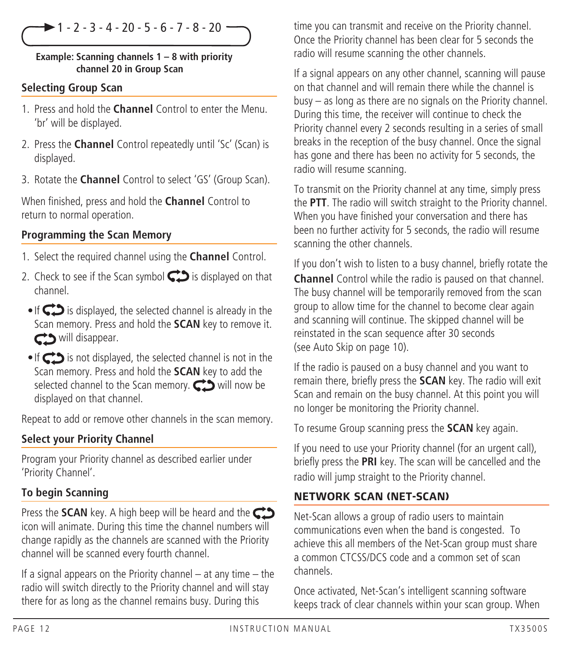$\blacktriangleright$  1 - 2 - 3 - 4 - 20 - 5 - 6 - 7 - 8 - 20 ·

#### **Example: Scanning channels 1 – 8 with priority channel 20 in Group Scan**

#### **Selecting Group Scan**

- 1. Press and hold the **Channel** Control to enter the Menu. 'br' will be displayed.
- 2. Press the **Channel** Control repeatedly until 'Sc' (Scan) is displayed.
- 3. Rotate the **Channel** Control to select 'GS' (Group Scan).

When finished, press and hold the **Channel** Control to return to normal operation.

#### **Programming the Scan Memory**

- 1. Select the required channel using the **Channel** Control.
- 2. Check to see if the Scan symbol  $\bigodot$  is displayed on that channel.
- $\cdot$  If  $\bigcirc$  is displayed, the selected channel is already in the Scan memory. Press and hold the **SCAN** key to remove it. cco will disappear.
- $\cdot$  If  $\bigodot$  is not displayed, the selected channel is not in the Scan memory. Press and hold the **SCAN** key to add the selected channel to the Scan memory.  $\bigodot$  will now be displayed on that channel.

Repeat to add or remove other channels in the scan memory.

#### **Select your Priority Channel**

Program your Priority channel as described earlier under 'Priority Channel'.

#### **To begin Scanning**

Press the **SCAN** key. A high beep will be heard and the CD icon will animate. During this time the channel numbers will change rapidly as the channels are scanned with the Priority channel will be scanned every fourth channel.

If a signal appears on the Priority channel – at any time – the radio will switch directly to the Priority channel and will stay there for as long as the channel remains busy. During this

time you can transmit and receive on the Priority channel. Once the Priority channel has been clear for 5 seconds the radio will resume scanning the other channels.

If a signal appears on any other channel, scanning will pause on that channel and will remain there while the channel is busy – as long as there are no signals on the Priority channel. During this time, the receiver will continue to check the Priority channel every 2 seconds resulting in a series of small breaks in the reception of the busy channel. Once the signal has gone and there has been no activity for 5 seconds, the radio will resume scanning.

To transmit on the Priority channel at any time, simply press the **PTT**. The radio will switch straight to the Priority channel. When you have finished your conversation and there has been no further activity for 5 seconds, the radio will resume scanning the other channels.

If you don't wish to listen to a busy channel, briefly rotate the **Channel** Control while the radio is paused on that channel. The busy channel will be temporarily removed from the scan group to allow time for the channel to become clear again and scanning will continue. The skipped channel will be reinstated in the scan sequence after 30 seconds (see Auto Skip on page 10).

If the radio is paused on a busy channel and you want to remain there, briefly press the **SCAN** key. The radio will exit Scan and remain on the busy channel. At this point you will no longer be monitoring the Priority channel.

To resume Group scanning press the **SCAN** key again.

If you need to use your Priority channel (for an urgent call), briefly press the **PRI** key. The scan will be cancelled and the radio will jump straight to the Priority channel.

### **NETWORK SCAN (NET-SCAN)**

Net-Scan allows a group of radio users to maintain communications even when the band is congested. To achieve this all members of the Net-Scan group must share a common CTCSS/DCS code and a common set of scan channels.

Once activated, Net-Scan's intelligent scanning software keeps track of clear channels within your scan group. When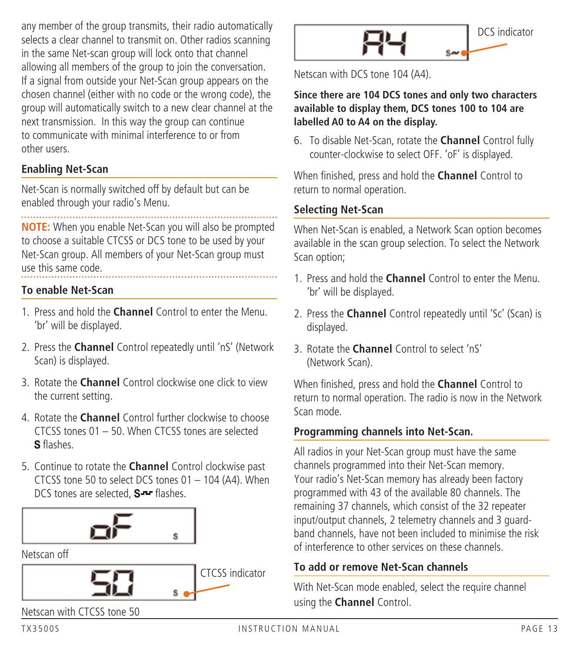any member of the group transmits, their radio automatically selects a clear channel to transmit on. Other radios scanning in the same Net-scan group will lock onto that channel allowing all members of the group to join the conversation. If a signal from outside your Net-Scan group appears on the chosen channel (either with no code or the wrong code), the group will automatically switch to a new clear channel at the next transmission. In this way the group can continue to communicate with minimal interference to or from other users.

### **Enabling Net-Scan**

Net-Scan is normally switched off by default but can be enabled through your radio's Menu.

**NOTE:** When you enable Net-Scan you will also be prompted to choose a suitable CTCSS or DCS tone to be used by your Net-Scan group. All members of your Net-Scan group must use this same code.

#### **To enable Net-Scan**

- 1. Press and hold the **Channel** Control to enter the Menu. 'br' will be displayed.
- 2. Press the **Channel** Control repeatedly until 'nS' (Network Scan) is displayed.
- 3. Rotate the **Channel** Control clockwise one click to view the current setting.
- 4. Rotate the **Channel** Control further clockwise to choose CTCSS tones 01 – 50. When CTCSS tones are selected S flashes
- 5. Continue to rotate the **Channel** Control clockwise past CTCSS tone 50 to select DCS tones 01 – 104 (A4). When DCS tones are selected. S-F flashes.



Netscan off







Netscan with DCS tone 104 (A4).

#### **Since there are 104 DCS tones and only two characters available to display them, DCS tones 100 to 104 are labelled A0 to A4 on the display.**

6. To disable Net-Scan, rotate the **Channel** Control fully counter-clockwise to select OFF. 'oF' is displayed.

When finished, press and hold the **Channel** Control to return to normal operation.

### **Selecting Net-Scan**

When Net-Scan is enabled, a Network Scan option becomes available in the scan group selection. To select the Network Scan option;

- 1. Press and hold the **Channel** Control to enter the Menu. 'br' will be displayed.
- 2. Press the **Channel** Control repeatedly until 'Sc' (Scan) is displayed.
- 3. Rotate the **Channel** Control to select 'nS' (Network Scan).

When finished, press and hold the **Channel** Control to return to normal operation. The radio is now in the Network Scan mode.

#### **Programming channels into Net-Scan.**

All radios in your Net-Scan group must have the same channels programmed into their Net-Scan memory. Your radio's Net-Scan memory has already been factory programmed with 43 of the available 80 channels. The remaining 37 channels, which consist of the 32 repeater input/output channels, 2 telemetry channels and 3 guardband channels, have not been included to minimise the risk of interference to other services on these channels.

#### **To add or remove Net-Scan channels**

With Net-Scan mode enabled, select the require channel using the **Channel** Control.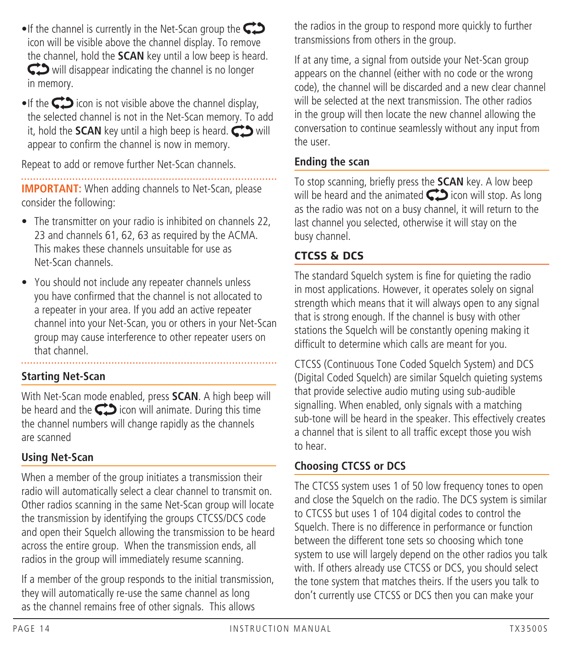- If the channel is currently in the Net-Scan group the  $\mathbb{C}$ icon will be visible above the channel display. To remove the channel, hold the **SCAN** key until a low beep is heard. will disappear indicating the channel is no longer in memory.
- $\bullet$  If the  $\bullet$  icon is not visible above the channel display, the selected channel is not in the Net-Scan memory. To add it, hold the **SCAN** key until a high beep is heard.  $\bigodot$  will appear to confirm the channel is now in memory.

Repeat to add or remove further Net-Scan channels.

**IMPORTANT:** When adding channels to Net-Scan, please consider the following:

- The transmitter on your radio is inhibited on channels 22, 23 and channels 61, 62, 63 as required by the ACMA. This makes these channels unsuitable for use as Net-Scan channels.
- You should not include any repeater channels unless you have confirmed that the channel is not allocated to a repeater in your area. If you add an active repeater channel into your Net-Scan, you or others in your Net-Scan group may cause interference to other repeater users on that channel.

**Starting Net-Scan**

With Net-Scan mode enabled, press **SCAN**. A high beep will be heard and the  $\bigcirc$  icon will animate. During this time the channel numbers will change rapidly as the channels are scanned

## **Using Net-Scan**

When a member of the group initiates a transmission their radio will automatically select a clear channel to transmit on. Other radios scanning in the same Net-Scan group will locate the transmission by identifying the groups CTCSS/DCS code and open their Squelch allowing the transmission to be heard across the entire group. When the transmission ends, all radios in the group will immediately resume scanning.

If a member of the group responds to the initial transmission, they will automatically re-use the same channel as long as the channel remains free of other signals. This allows

the radios in the group to respond more quickly to further transmissions from others in the group.

If at any time, a signal from outside your Net-Scan group appears on the channel (either with no code or the wrong code), the channel will be discarded and a new clear channel will be selected at the next transmission. The other radios in the group will then locate the new channel allowing the conversation to continue seamlessly without any input from the user.

## **Ending the scan**

To stop scanning, briefly press the **SCAN** key. A low beep will be heard and the animated  $\bigodot$  icon will stop. As long as the radio was not on a busy channel, it will return to the last channel you selected, otherwise it will stay on the busy channel.

## **CTCSS & DCS**

The standard Squelch system is fine for quieting the radio in most applications. However, it operates solely on signal strength which means that it will always open to any signal that is strong enough. If the channel is busy with other stations the Squelch will be constantly opening making it difficult to determine which calls are meant for you.

CTCSS (Continuous Tone Coded Squelch System) and DCS (Digital Coded Squelch) are similar Squelch quieting systems that provide selective audio muting using sub-audible signalling. When enabled, only signals with a matching sub-tone will be heard in the speaker. This effectively creates a channel that is silent to all traffic except those you wish to hear.

## **Choosing CTCSS or DCS**

The CTCSS system uses 1 of 50 low frequency tones to open and close the Squelch on the radio. The DCS system is similar to CTCSS but uses 1 of 104 digital codes to control the Squelch. There is no difference in performance or function between the different tone sets so choosing which tone system to use will largely depend on the other radios you talk with. If others already use CTCSS or DCS, you should select the tone system that matches theirs. If the users you talk to don't currently use CTCSS or DCS then you can make your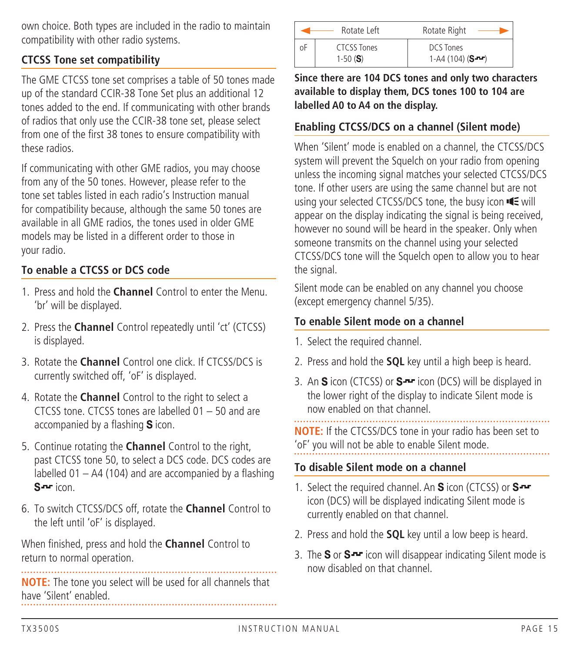own choice. Both types are included in the radio to maintain compatibility with other radio systems.

### **CTCSS Tone set compatibility**

The GME CTCSS tone set comprises a table of 50 tones made up of the standard CCIR-38 Tone Set plus an additional 12 tones added to the end. If communicating with other brands of radios that only use the CCIR-38 tone set, please select from one of the first 38 tones to ensure compatibility with these radios.

If communicating with other GME radios, you may choose from any of the 50 tones. However, please refer to the tone set tables listed in each radio's Instruction manual for compatibility because, although the same 50 tones are available in all GME radios, the tones used in older GME models may be listed in a different order to those in your radio.

## **To enable a CTCSS or DCS code**

- 1. Press and hold the **Channel** Control to enter the Menu. 'br' will be displayed.
- 2. Press the **Channel** Control repeatedly until 'ct' (CTCSS) is displayed.
- 3. Rotate the **Channel** Control one click. If CTCSS/DCS is currently switched off, 'oF' is displayed.
- 4. Rotate the **Channel** Control to the right to select a CTCSS tone. CTCSS tones are labelled 01 – 50 and are accompanied by a flashing  $S$  icon.
- 5. Continue rotating the **Channel** Control to the right, past CTCSS tone 50, to select a DCS code. DCS codes are labelled 01 – A4 (104) and are accompanied by a flashing S-Fricon.
- 6. To switch CTCSS/DCS off, rotate the **Channel** Control to the left until 'oF' is displayed.

When finished, press and hold the **Channel** Control to return to normal operation.

**NOTE:** The tone you select will be used for all channels that have 'Silent' enabled.

|    | Rotate Left               | Rotate Right                  |
|----|---------------------------|-------------------------------|
| οF | CTCSS Tones<br>1-50 $(S)$ | DCS Tones<br>$1-A4(104)(S-1)$ |

**Since there are 104 DCS tones and only two characters available to display them, DCS tones 100 to 104 are labelled A0 to A4 on the display.**

#### **Enabling CTCSS/DCS on a channel (Silent mode)**

When 'Silent' mode is enabled on a channel, the CTCSS/DCS system will prevent the Squelch on your radio from opening unless the incoming signal matches your selected CTCSS/DCS tone. If other users are using the same channel but are not using your selected CTCSS/DCS tone, the busy icon  $\blacksquare$  will appear on the display indicating the signal is being received, however no sound will be heard in the speaker. Only when someone transmits on the channel using your selected CTCSS/DCS tone will the Squelch open to allow you to hear the signal.

Silent mode can be enabled on any channel you choose (except emergency channel 5/35).

#### **To enable Silent mode on a channel**

- 1. Select the required channel.
- 2. Press and hold the **SQL** key until a high beep is heard.
- 3. An  $S$  icon (CTCSS) or  $S$  icon (DCS) will be displayed in the lower right of the display to indicate Silent mode is now enabled on that channel.

**NOTE:** If the CTCSS/DCS tone in your radio has been set to 'oF' you will not be able to enable Silent mode.

#### **To disable Silent mode on a channel**

- 1. Select the required channel. An  $S$  icon (CTCSS) or  $S$ icon (DCS) will be displayed indicating Silent mode is currently enabled on that channel.
- 2. Press and hold the **SQL** key until a low beep is heard.
- 3. The S or  $S^{-1}$  icon will disappear indicating Silent mode is now disabled on that channel.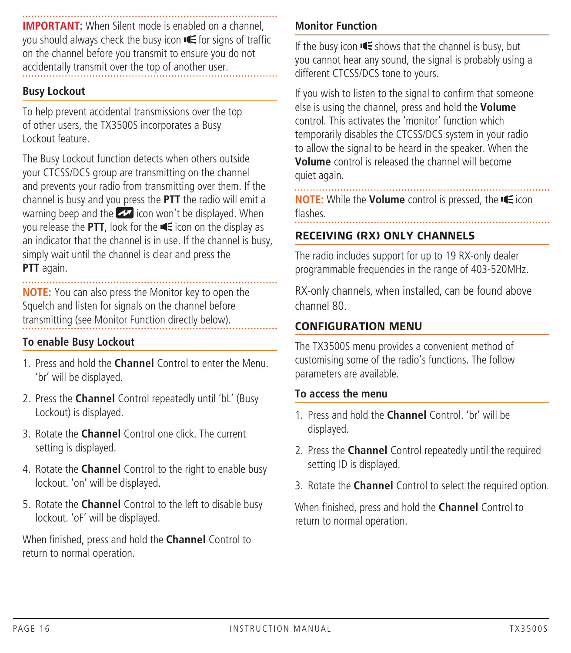**IMPORTANT:** When Silent mode is enabled on a channel, you should always check the busy icon  $\blacksquare$  for signs of traffic on the channel before you transmit to ensure you do not accidentally transmit over the top of another user.

#### **Busy Lockout**

To help prevent accidental transmissions over the top of other users, the TX3500S incorporates a Busy Lockout feature.

The Busy Lockout function detects when others outside your CTCSS/DCS group are transmitting on the channel and prevents your radio from transmitting over them. If the channel is busy and you press the **PTT** the radio will emit a warning beep and the  $\blacktriangleright$  icon won't be displayed. When you release the PTT, look for the  $\blacksquare$  icon on the display as an indicator that the channel is in use. If the channel is busy, simply wait until the channel is clear and press the **PTT** again.

**NOTE:** You can also press the Monitor key to open the Squelch and listen for signals on the channel before transmitting (see Monitor Function directly below).

#### **To enable Busy Lockout**

- 1. Press and hold the **Channel** Control to enter the Menu. 'br' will be displayed.
- 2. Press the **Channel** Control repeatedly until 'bL' (Busy Lockout) is displayed.
- 3. Rotate the **Channel** Control one click. The current setting is displayed.
- 4. Rotate the **Channel** Control to the right to enable busy lockout. 'on' will be displayed.
- 5. Rotate the **Channel** Control to the left to disable busy lockout. 'oF' will be displayed.

When finished, press and hold the **Channel** Control to return to normal operation.

### **Monitor Function**

If the busy icon  $\blacksquare$  shows that the channel is busy, but you cannot hear any sound, the signal is probably using a different CTCSS/DCS tone to yours.

If you wish to listen to the signal to confirm that someone else is using the channel, press and hold the **Volume**  control. This activates the 'monitor' function which temporarily disables the CTCSS/DCS system in your radio to allow the signal to be heard in the speaker. When the **Volume** control is released the channel will become quiet again.

. . . . . . . . . . . **NOTE:** While the **Volume** control is pressed, the **E** icon flashes.

#### **RECEIVING (RX) ONLY CHANNELS**

The radio includes support for up to 19 RX-only dealer programmable frequencies in the range of 403-520MHz.

RX-only channels, when installed, can be found above channel 80.

#### **CONFIGURATION MENU**

The TX3500S menu provides a convenient method of customising some of the radio's functions. The follow parameters are available.

#### **To access the menu**

- 1. Press and hold the **Channel** Control. 'br' will be displayed.
- 2. Press the **Channel** Control repeatedly until the required setting ID is displayed.
- 3. Rotate the **Channel** Control to select the required option.

When finished, press and hold the **Channel** Control to return to normal operation.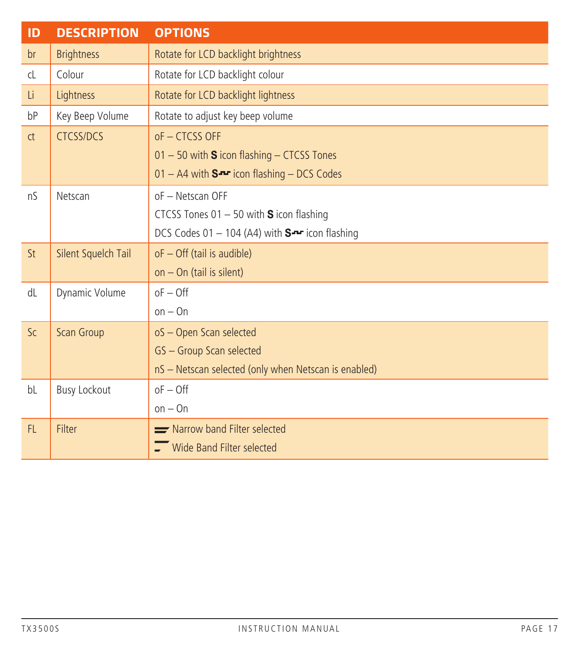| ID            | <b>DESCRIPTION</b>  | <b>OPTIONS</b>                                       |
|---------------|---------------------|------------------------------------------------------|
| br            | <b>Brightness</b>   | Rotate for LCD backlight brightness                  |
| $\mathsf{cl}$ | Colour              | Rotate for LCD backlight colour                      |
| Li.           | Lightness           | Rotate for LCD backlight lightness                   |
| bP            | Key Beep Volume     | Rotate to adjust key beep volume                     |
| ct            | <b>CTCSS/DCS</b>    | $of - CTCSS$ OFF                                     |
|               |                     | $01 - 50$ with S icon flashing $-$ CTCSS Tones       |
|               |                     | $01 - A4$ with $S -$ icon flashing - DCS Codes       |
| nS            | Netscan             | oF - Netscan OFF                                     |
|               |                     | CTCSS Tones $01 - 50$ with S icon flashing           |
|               |                     | DCS Codes 01 - 104 (A4) with $S^{-1}$ icon flashing  |
| St            | Silent Squelch Tail | oF - Off (tail is audible)                           |
|               |                     | on $-$ On (tail is silent)                           |
| dL            | Dynamic Volume      | $oF - Off$                                           |
|               |                     | $on - On$                                            |
| Sc.           | Scan Group          | oS - Open Scan selected                              |
|               |                     | GS - Group Scan selected                             |
|               |                     | nS - Netscan selected (only when Netscan is enabled) |
| bL            | <b>Busy Lockout</b> | $oF - Off$                                           |
|               |                     | $on - On$                                            |
| FL.           | <b>Filter</b>       | Narrow band Filter selected                          |
|               |                     | $\Gamma$ Wide Band Filter selected                   |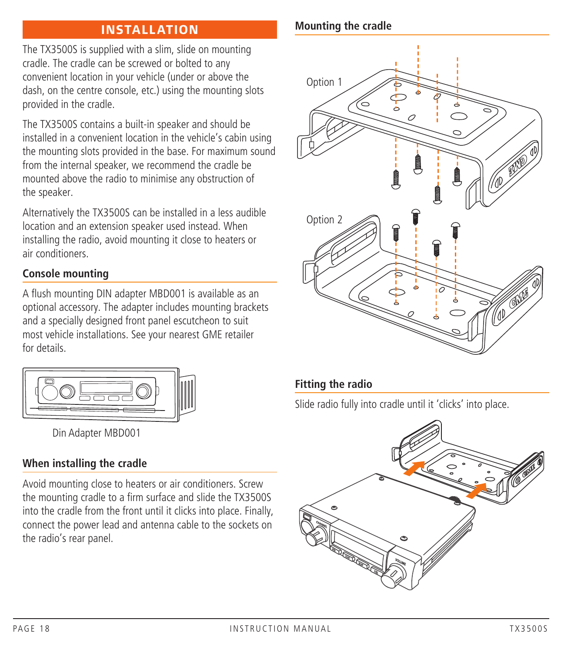## **INSTALLATION**

The TX3500S is supplied with a slim, slide on mounting cradle. The cradle can be screwed or bolted to any convenient location in your vehicle (under or above the dash, on the centre console, etc.) using the mounting slots provided in the cradle.

The TX3500S contains a built-in speaker and should be installed in a convenient location in the vehicle's cabin using the mounting slots provided in the base. For maximum sound from the internal speaker, we recommend the cradle be mounted above the radio to minimise any obstruction of the speaker.

Alternatively the TX3500S can be installed in a less audible location and an extension speaker used instead. When installing the radio, avoid mounting it close to heaters or air conditioners.

### **Console mounting**

A flush mounting DIN adapter MBD001 is available as an optional accessory. The adapter includes mounting brackets and a specially designed front panel escutcheon to suit most vehicle installations. See your nearest GME retailer for details.



Din Adapter MBD001

### **When installing the cradle**

Avoid mounting close to heaters or air conditioners. Screw the mounting cradle to a firm surface and slide the TX3500S into the cradle from the front until it clicks into place. Finally, connect the power lead and antenna cable to the sockets on the radio's rear panel.

### **Mounting the cradle**



### **Fitting the radio**

Slide radio fully into cradle until it 'clicks' into place.

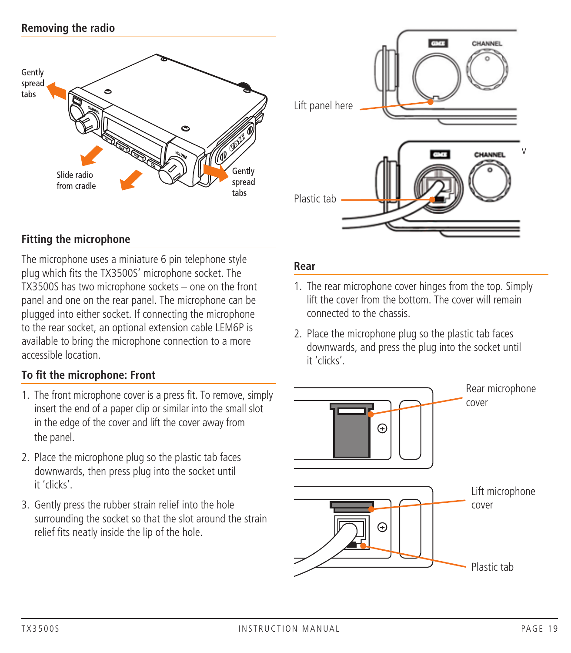### **Removing the radio**





#### **Fitting the microphone**

The microphone uses a miniature 6 pin telephone style plug which fits the TX3500S' microphone socket. The TX3500S has two microphone sockets – one on the front panel and one on the rear panel. The microphone can be plugged into either socket. If connecting the microphone to the rear socket, an optional extension cable LEM6P is available to bring the microphone connection to a more accessible location.

#### **To fit the microphone: Front**

- 1. The front microphone cover is a press fit. To remove, simply insert the end of a paper clip or similar into the small slot in the edge of the cover and lift the cover away from the panel.
- 2. Place the microphone plug so the plastic tab faces downwards, then press plug into the socket until it 'clicks'.
- 3. Gently press the rubber strain relief into the hole surrounding the socket so that the slot around the strain relief fits neatly inside the lip of the hole.

#### **Rear**

- 1. The rear microphone cover hinges from the top. Simply lift the cover from the bottom. The cover will remain connected to the chassis.
- 2. Place the microphone plug so the plastic tab faces downwards, and press the plug into the socket until it 'clicks'.

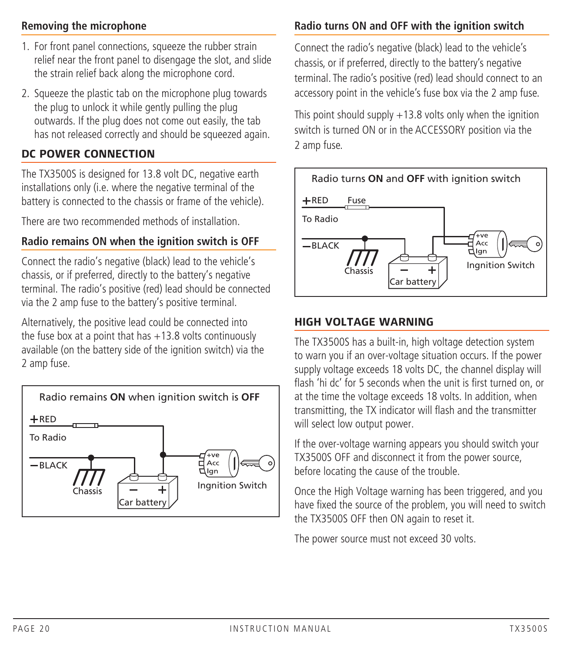### **Removing the microphone**

- 1. For front panel connections, squeeze the rubber strain relief near the front panel to disengage the slot, and slide the strain relief back along the microphone cord.
- 2. Squeeze the plastic tab on the microphone plug towards the plug to unlock it while gently pulling the plug outwards. If the plug does not come out easily, the tab has not released correctly and should be squeezed again.

#### **DC POWER CONNECTION**

The TX3500S is designed for 13.8 volt DC, negative earth installations only (i.e. where the negative terminal of the battery is connected to the chassis or frame of the vehicle).

There are two recommended methods of installation.

## **Radio remains ON when the ignition switch is OFF**

Connect the radio's negative (black) lead to the vehicle's chassis, or if preferred, directly to the battery's negative terminal. The radio's positive (red) lead should be connected via the 2 amp fuse to the battery's positive terminal.

Alternatively, the positive lead could be connected into the fuse box at a point that has  $+13.8$  volts continuously available (on the battery side of the ignition switch) via the 2 amp fuse.



## **Radio turns ON and OFF with the ignition switch**

Connect the radio's negative (black) lead to the vehicle's chassis, or if preferred, directly to the battery's negative terminal. The radio's positive (red) lead should connect to an accessory point in the vehicle's fuse box via the 2 amp fuse.

This point should supply  $+13.8$  volts only when the ignition switch is turned ON or in the ACCESSORY position via the 2 amp fuse.



#### **HIGH VOLTAGE WARNING**

The TX3500S has a built-in, high voltage detection system to warn you if an over-voltage situation occurs. If the power supply voltage exceeds 18 volts DC, the channel display will flash 'hi dc' for 5 seconds when the unit is first turned on, or at the time the voltage exceeds 18 volts. In addition, when transmitting, the TX indicator will flash and the transmitter will select low output power.

If the over-voltage warning appears you should switch your TX3500S OFF and disconnect it from the power source, before locating the cause of the trouble.

Once the High Voltage warning has been triggered, and you have fixed the source of the problem, you will need to switch the TX3500S OFF then ON again to reset it.

The power source must not exceed 30 volts.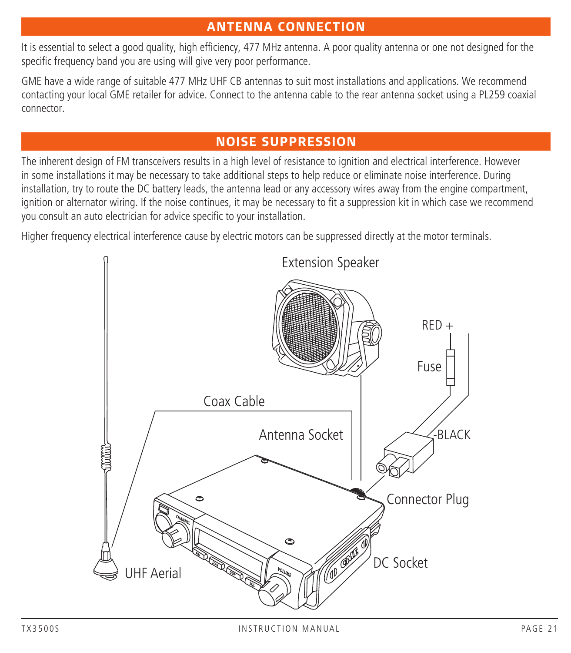## **ANTENNA CONNECTION**

It is essential to select a good quality, high efficiency, 477 MHz antenna. A poor quality antenna or one not designed for the specific frequency band you are using will give very poor performance.

GME have a wide range of suitable 477 MHz UHF CB antennas to suit most installations and applications. We recommend contacting your local GME retailer for advice. Connect to the antenna cable to the rear antenna socket using a PL259 coaxial connector.

## **NOISE SUPPRESSION**

The inherent design of FM transceivers results in a high level of resistance to ignition and electrical interference. However in some installations it may be necessary to take additional steps to help reduce or eliminate noise interference. During installation, try to route the DC battery leads, the antenna lead or any accessory wires away from the engine compartment, ignition or alternator wiring. If the noise continues, it may be necessary to fit a suppression kit in which case we recommend you consult an auto electrician for advice specific to your installation.

Higher frequency electrical interference cause by electric motors can be suppressed directly at the motor terminals.

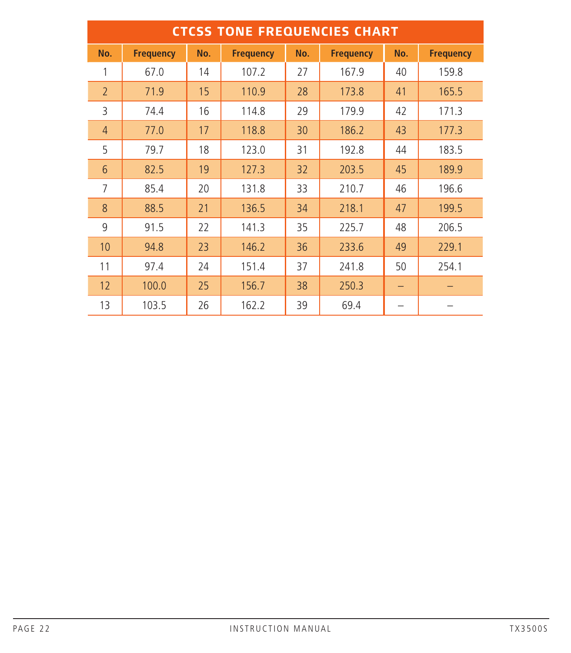| <b>CTCSS TONE FREQUENCIES CHART</b> |                  |     |                  |     |                  |     |                  |
|-------------------------------------|------------------|-----|------------------|-----|------------------|-----|------------------|
| No.                                 | <b>Frequency</b> | No. | <b>Frequency</b> | No. | <b>Frequency</b> | No. | <b>Frequency</b> |
| 1                                   | 67.0             | 14  | 107.2            | 27  | 167.9            | 40  | 159.8            |
| $\overline{2}$                      | 71.9             | 15  | 110.9            | 28  | 173.8            | 41  | 165.5            |
| 3                                   | 74.4             | 16  | 114.8            | 29  | 179.9            | 42  | 171.3            |
| $\overline{4}$                      | 77.0             | 17  | 118.8            | 30  | 186.2            | 43  | 177.3            |
| 5                                   | 79.7             | 18  | 123.0            | 31  | 192.8            | 44  | 183.5            |
| 6                                   | 82.5             | 19  | 127.3            | 32  | 203.5            | 45  | 189.9            |
| 7                                   | 85.4             | 20  | 131.8            | 33  | 210.7            | 46  | 196.6            |
| 8                                   | 88.5             | 21  | 136.5            | 34  | 218.1            | 47  | 199.5            |
| 9                                   | 91.5             | 22  | 141.3            | 35  | 225.7            | 48  | 206.5            |
| 10                                  | 94.8             | 23  | 146.2            | 36  | 233.6            | 49  | 229.1            |
| 11                                  | 97.4             | 24  | 151.4            | 37  | 241.8            | 50  | 254.1            |
| 12                                  | 100.0            | 25  | 156.7            | 38  | 250.3            |     |                  |
| 13                                  | 103.5            | 26  | 162.2            | 39  | 69.4             |     |                  |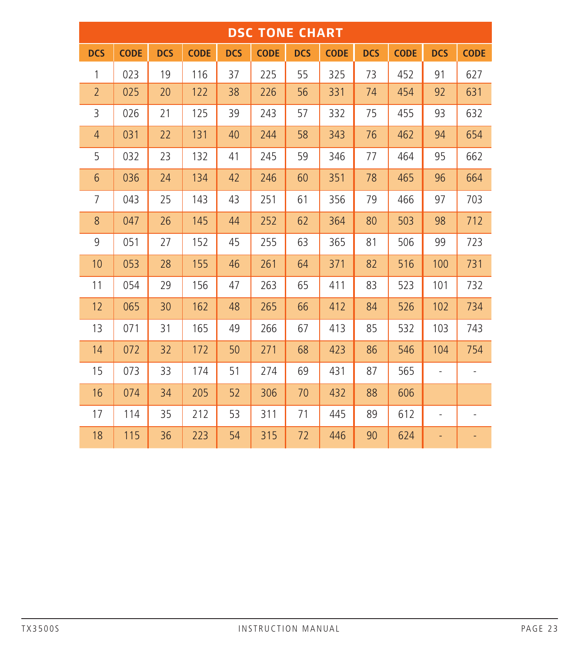| <b>DSC TONE CHART</b> |             |            |             |            |             |            |             |            |             |                          |             |
|-----------------------|-------------|------------|-------------|------------|-------------|------------|-------------|------------|-------------|--------------------------|-------------|
| <b>DCS</b>            | <b>CODE</b> | <b>DCS</b> | <b>CODE</b> | <b>DCS</b> | <b>CODE</b> | <b>DCS</b> | <b>CODE</b> | <b>DCS</b> | <b>CODE</b> | <b>DCS</b>               | <b>CODE</b> |
| 1                     | 023         | 19         | 116         | 37         | 225         | 55         | 325         | 73         | 452         | 91                       | 627         |
| $\overline{2}$        | 025         | 20         | 122         | 38         | 226         | 56         | 331         | 74         | 454         | 92                       | 631         |
| 3                     | 026         | 21         | 125         | 39         | 243         | 57         | 332         | 75         | 455         | 93                       | 632         |
| $\overline{4}$        | 031         | 22         | 131         | 40         | 244         | 58         | 343         | 76         | 462         | 94                       | 654         |
| 5                     | 032         | 23         | 132         | 41         | 245         | 59         | 346         | 77         | 464         | 95                       | 662         |
| 6                     | 036         | 24         | 134         | 42         | 246         | 60         | 351         | 78         | 465         | 96                       | 664         |
| $\overline{7}$        | 043         | 25         | 143         | 43         | 251         | 61         | 356         | 79         | 466         | 97                       | 703         |
| 8                     | 047         | 26         | 145         | 44         | 252         | 62         | 364         | 80         | 503         | 98                       | 712         |
| 9                     | 051         | 27         | 152         | 45         | 255         | 63         | 365         | 81         | 506         | 99                       | 723         |
| 10                    | 053         | 28         | 155         | 46         | 261         | 64         | 371         | 82         | 516         | 100                      | 731         |
| 11                    | 054         | 29         | 156         | 47         | 263         | 65         | 411         | 83         | 523         | 101                      | 732         |
| 12                    | 065         | 30         | 162         | 48         | 265         | 66         | 412         | 84         | 526         | 102                      | 734         |
| 13                    | 071         | 31         | 165         | 49         | 266         | 67         | 413         | 85         | 532         | 103                      | 743         |
| 14                    | 072         | 32         | 172         | 50         | 271         | 68         | 423         | 86         | 546         | 104                      | 754         |
| 15                    | 073         | 33         | 174         | 51         | 274         | 69         | 431         | 87         | 565         | ÷.                       |             |
| 16                    | 074         | 34         | 205         | 52         | 306         | 70         | 432         | 88         | 606         |                          |             |
| 17                    | 114         | 35         | 212         | 53         | 311         | 71         | 445         | 89         | 612         | $\overline{\phantom{a}}$ |             |
| 18                    | 115         | 36         | 223         | 54         | 315         | 72         | 446         | 90         | 624         | $\overline{\phantom{0}}$ |             |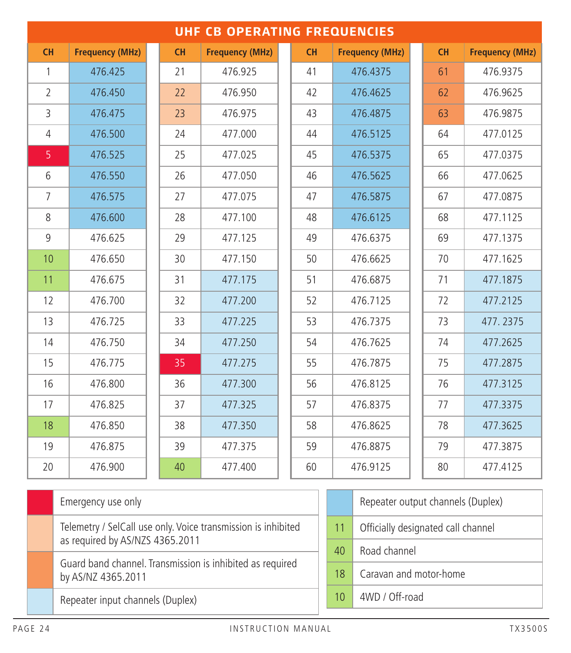|                | <b>UHF CB OPERATING FREQUENCIES</b>                           |    |                        |    |    |    |                                    |    |  |                        |
|----------------|---------------------------------------------------------------|----|------------------------|----|----|----|------------------------------------|----|--|------------------------|
| CH             | <b>Frequency (MHz)</b>                                        | CH | <b>Frequency (MHz)</b> |    | CH |    | <b>Frequency (MHz)</b>             | CH |  | <b>Frequency (MHz)</b> |
| 1              | 476.425                                                       | 21 | 476.925                |    | 41 |    | 476.4375                           | 61 |  | 476.9375               |
| $\overline{2}$ | 476.450                                                       | 22 | 476.950                |    | 42 |    | 476.4625                           | 62 |  | 476.9625               |
| 3              | 476.475                                                       | 23 | 476.975                |    | 43 |    | 476.4875                           | 63 |  | 476.9875               |
| 4              | 476.500                                                       | 24 | 477.000                |    | 44 |    | 476.5125                           | 64 |  | 477.0125               |
| 5              | 476.525                                                       | 25 | 477.025                |    | 45 |    | 476.5375                           | 65 |  | 477.0375               |
| 6              | 476.550                                                       | 26 | 477.050                |    | 46 |    | 476.5625                           | 66 |  | 477.0625               |
| 7              | 476.575                                                       | 27 | 477.075                |    | 47 |    | 476.5875                           | 67 |  | 477.0875               |
| 8              | 476.600                                                       | 28 | 477.100                |    | 48 |    | 476.6125                           | 68 |  | 477.1125               |
| 9              | 476.625                                                       | 29 | 477.125                |    | 49 |    | 476.6375                           | 69 |  | 477.1375               |
| 10             | 476.650                                                       | 30 | 477.150                |    | 50 |    | 476.6625                           | 70 |  | 477.1625               |
| 11             | 476.675                                                       | 31 | 477.175                |    | 51 |    | 476.6875                           | 71 |  | 477.1875               |
| 12             | 476.700                                                       | 32 | 477.200                | 52 |    |    | 476.7125                           | 72 |  | 477.2125               |
| 13             | 476.725                                                       | 33 | 477.225                | 53 |    |    | 476.7375                           | 73 |  | 477.2375               |
| 14             | 476.750                                                       | 34 | 477.250                |    | 54 |    | 476.7625                           | 74 |  | 477.2625               |
| 15             | 476.775                                                       | 35 | 477.275                |    | 55 |    | 476.7875                           | 75 |  | 477.2875               |
| 16             | 476.800                                                       | 36 | 477.300                |    | 56 |    | 476.8125                           | 76 |  | 477.3125               |
| 17             | 476.825                                                       | 37 | 477.325                |    | 57 |    | 476.8375                           | 77 |  | 477.3375               |
| 18             | 476.850                                                       | 38 | 477.350                |    | 58 |    | 476.8625                           | 78 |  | 477.3625               |
| 19             | 476.875                                                       | 39 | 477.375                |    | 59 |    | 476.8875                           | 79 |  | 477.3875               |
| 20             | 476.900                                                       | 40 | 477.400                |    | 60 |    | 476.9125                           | 80 |  | 477.4125               |
|                | Emergency use only                                            |    |                        |    |    |    | Repeater output channels (Duplex)  |    |  |                        |
|                | Telemetry / SelCall use only. Voice transmission is inhibited |    |                        |    |    | 11 |                                    |    |  |                        |
|                | as required by AS/NZS 4365.2011                               |    |                        |    |    |    | Officially designated call channel |    |  |                        |
|                | Guard band channel. Transmission is inhibited as required     |    |                        |    |    | 40 | Road channel                       |    |  |                        |
|                | by AS/NZ 4365.2011                                            |    |                        |    |    | 18 | Caravan and motor-home             |    |  |                        |
|                | Repeater input channels (Duplex)                              |    |                        |    |    | 10 | 4WD / Off-road                     |    |  |                        |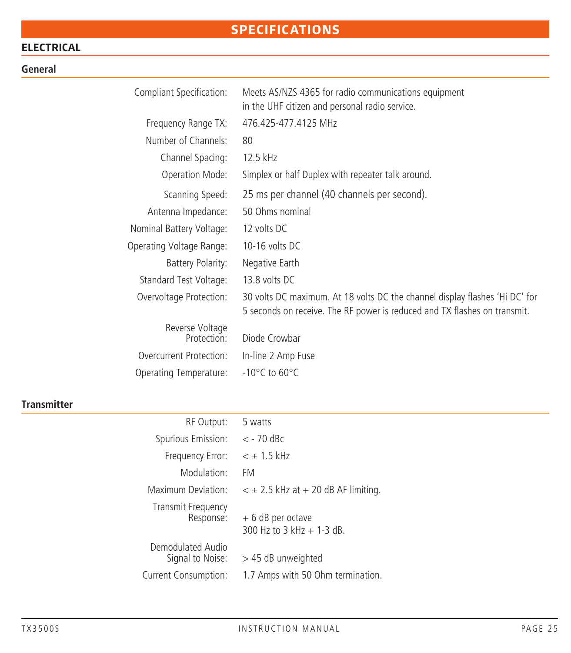## **SPECIFICATIONS**

## **ELECTRICAL**

#### **General**

| Compliant Specification: | Meets AS/NZS 4365 for radio communications equipment<br>in the UHF citizen and personal radio service.                                                   |
|--------------------------|----------------------------------------------------------------------------------------------------------------------------------------------------------|
| Frequency Range TX:      | 476.425-477.4125 MHz                                                                                                                                     |
| Number of Channels:      | 80                                                                                                                                                       |
| Channel Spacing:         | 12.5 kHz                                                                                                                                                 |
| Operation Mode:          | Simplex or half Duplex with repeater talk around.                                                                                                        |
| Scanning Speed:          | 25 ms per channel (40 channels per second).                                                                                                              |
| Antenna Impedance:       | 50 Ohms nominal                                                                                                                                          |
| Nominal Battery Voltage: | 12 volts DC                                                                                                                                              |
| Operating Voltage Range: | 10-16 volts DC                                                                                                                                           |
| Battery Polarity:        | Negative Earth                                                                                                                                           |
| Standard Test Voltage:   | 13.8 volts DC                                                                                                                                            |
| Overvoltage Protection:  | 30 volts DC maximum. At 18 volts DC the channel display flashes 'Hi DC' for<br>5 seconds on receive. The RF power is reduced and TX flashes on transmit. |
| Reverse Voltage          |                                                                                                                                                          |
| Protection:              | Diode Crowbar                                                                                                                                            |
| Overcurrent Protection:  | In-line 2 Amp Fuse                                                                                                                                       |
| Operating Temperature:   | $-10^{\circ}$ C to 60 $^{\circ}$ C                                                                                                                       |

## **Transmitter**

| RF Output:                             | 5 watts                                          |
|----------------------------------------|--------------------------------------------------|
| Spurious Emission:                     | $<$ - 70 dBc                                     |
| Frequency Error:                       | $< +1.5$ kHz                                     |
| Modulation:                            | FM                                               |
| Maximum Deviation:                     | $\epsilon \pm 2.5$ kHz at $+20$ dB AF limiting.  |
| <b>Transmit Frequency</b><br>Response: | $+6$ dB per octave<br>300 Hz to 3 kHz $+$ 1-3 dB |
| Demodulated Audio<br>Signal to Noise:  | > 45 dB unweighted                               |
| Current Consumption:                   | 1.7 Amps with 50 Ohm termination.                |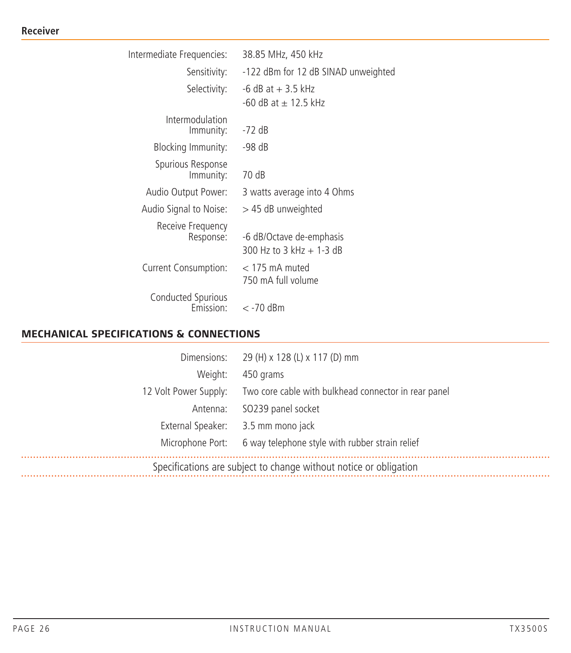#### **Receiver**

| Intermediate Frequencies:       | 38.85 MHz, 450 kHz                                     |
|---------------------------------|--------------------------------------------------------|
| Sensitivity:                    | -122 dBm for 12 dB SINAD unweighted                    |
| Selectivity:                    | $-6$ dB at $+3.5$ kHz<br>-60 dB at + 12.5 kHz          |
| Intermodulation<br>Immunity:    | -72 dB                                                 |
| Blocking Immunity:              | -98 dB                                                 |
| Spurious Response<br>Immunity:  | 70 dB                                                  |
| Audio Output Power:             | 3 watts average into 4 Ohms                            |
| Audio Signal to Noise:          | $>$ 45 dB unweighted                                   |
| Receive Frequency<br>Response:  | -6 dB/Octave de-emphasis<br>300 Hz to $3$ kHz + 1-3 dB |
| Current Consumption:            | $<$ 175 mA muted<br>750 mA full volume                 |
| Conducted Spurious<br>Fmission: | $<$ -70 dBm                                            |

## **MECHANICAL SPECIFICATIONS & CONNECTIONS**

|                                                                   | Dimensions: 29 (H) x 128 (L) x 117 (D) mm                                  |
|-------------------------------------------------------------------|----------------------------------------------------------------------------|
|                                                                   |                                                                            |
| Weight:                                                           | 450 grams                                                                  |
|                                                                   | 12 Volt Power Supply: Two core cable with bulkhead connector in rear panel |
|                                                                   | Antenna: SO239 panel socket                                                |
|                                                                   | External Speaker: 3.5 mm mono jack                                         |
|                                                                   | Microphone Port: 6 way telephone style with rubber strain relief           |
| Specifications are subject to change without notice or obligation |                                                                            |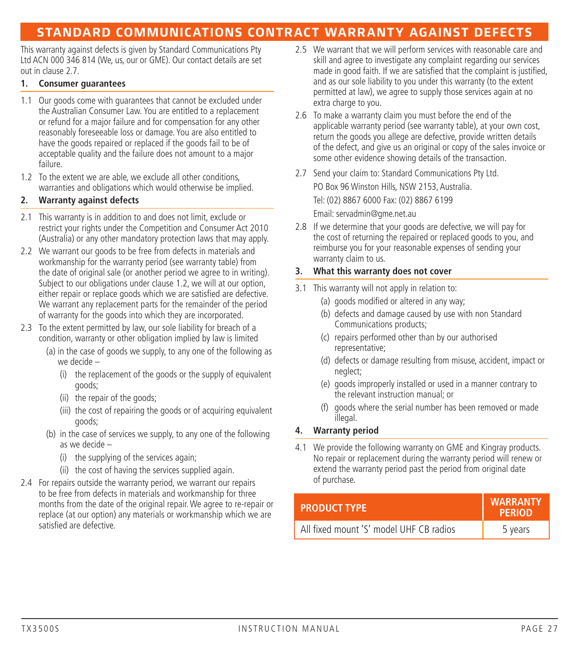## **STANDARD COMMUNICATIONS CONTRACT WARRANTY AGAINST DEFECTS**

This warranty against defects is given by Standard Communications Pty Ltd ACN 000 346 814 (We, us, our or GME). Our contact details are set out in clause 2.7.

#### **1. Consumer guarantees**

- 1.1 Our goods come with guarantees that cannot be excluded under the Australian Consumer Law. You are entitled to a replacement or refund for a major failure and for compensation for any other reasonably foreseeable loss or damage. You are also entitled to have the goods repaired or replaced if the goods fail to be of acceptable quality and the failure does not amount to a major failure.
- 1.2 To the extent we are able, we exclude all other conditions, warranties and obligations which would otherwise be implied.

#### **2. Warranty against defects**

- 2.1 This warranty is in addition to and does not limit, exclude or restrict your rights under the Competition and Consumer Act 2010 (Australia) or any other mandatory protection laws that may apply.
- 2.2 We warrant our goods to be free from defects in materials and workmanship for the warranty period (see warranty table) from the date of original sale (or another period we agree to in writing). Subject to our obligations under clause 1.2, we will at our option. either repair or replace goods which we are satisfied are defective. We warrant any replacement parts for the remainder of the period of warranty for the goods into which they are incorporated.
- 2.3 To the extent permitted by law, our sole liability for breach of a condition, warranty or other obligation implied by law is limited
	- (a) in the case of goods we supply, to any one of the following as we decide –
		- (i) the replacement of the goods or the supply of equivalent goods;
		- (ii) the repair of the goods;
		- (iii) the cost of repairing the goods or of acquiring equivalent goods;
	- (b) in the case of services we supply, to any one of the following as we decide –
		- (i) the supplying of the services again;
		- (ii) the cost of having the services supplied again.
- 2.4 For repairs outside the warranty period, we warrant our repairs to be free from defects in materials and workmanship for three months from the date of the original repair. We agree to re-repair or replace (at our option) any materials or workmanship which we are satisfied are defective.
- 2.5 We warrant that we will perform services with reasonable care and skill and agree to investigate any complaint regarding our services made in good faith. If we are satisfied that the complaint is justified, and as our sole liability to you under this warranty (to the extent permitted at law), we agree to supply those services again at no extra charge to you.
- 2.6 To make a warranty claim you must before the end of the applicable warranty period (see warranty table), at your own cost, return the goods you allege are defective, provide written details of the defect, and give us an original or copy of the sales invoice or some other evidence showing details of the transaction.
- 2.7 Send your claim to: Standard Communications Pty Ltd. PO Box 96 Winston Hills, NSW 2153, Australia. Tel: (02) 8867 6000 Fax: (02) 8867 6199 Email: servadmin@gme.net.au
- 2.8 If we determine that your goods are defective, we will pay for the cost of returning the repaired or replaced goods to you, and reimburse you for your reasonable expenses of sending your warranty claim to us.

#### **3. What this warranty does not cover**

- 3.1 This warranty will not apply in relation to:
	- (a) goods modified or altered in any way;
	- (b) defects and damage caused by use with non Standard Communications products;
	- (c) repairs performed other than by our authorised representative;
	- (d) defects or damage resulting from misuse, accident, impact or neglect;
	- (e) goods improperly installed or used in a manner contrary to the relevant instruction manual; or
	- (f) goods where the serial number has been removed or made illegal.

#### **4. Warranty period**

4.1 We provide the following warranty on GME and Kingray products. No repair or replacement during the warranty period will renew or extend the warranty period past the period from original date of purchase.

| <b>PRODUCT TYPE</b>                     | <b>WARRANTY</b><br><b>PERIOD</b> |
|-----------------------------------------|----------------------------------|
| All fixed mount 'S' model UHF CB radios | 5 years                          |